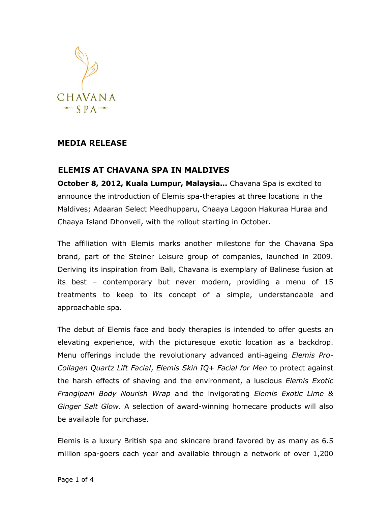

## **MEDIA RELEASE**

## **ELEMIS AT CHAVANA SPA IN MALDIVES**

**October 8, 2012, Kuala Lumpur, Malaysia…** Chavana Spa is excited to announce the introduction of Elemis spa-therapies at three locations in the Maldives; Adaaran Select Meedhupparu, Chaaya Lagoon Hakuraa Huraa and Chaaya Island Dhonveli, with the rollout starting in October.

The affiliation with Elemis marks another milestone for the Chavana Spa brand, part of the Steiner Leisure group of companies, launched in 2009. Deriving its inspiration from Bali, Chavana is exemplary of Balinese fusion at its best – contemporary but never modern, providing a menu of 15 treatments to keep to its concept of a simple, understandable and approachable spa.

The debut of Elemis face and body therapies is intended to offer guests an elevating experience, with the picturesque exotic location as a backdrop. Menu offerings include the revolutionary advanced anti-ageing *Elemis Pro-Collagen Quartz Lift Facial*, *Elemis Skin IQ+ Facial for Men* to protect against the harsh effects of shaving and the environment, a luscious *Elemis Exotic Frangipani Body Nourish Wrap* and the invigorating *Elemis Exotic Lime & Ginger Salt Glow*. A selection of award-winning homecare products will also be available for purchase.

Elemis is a luxury British spa and skincare brand favored by as many as 6.5 million spa-goers each year and available through a network of over 1,200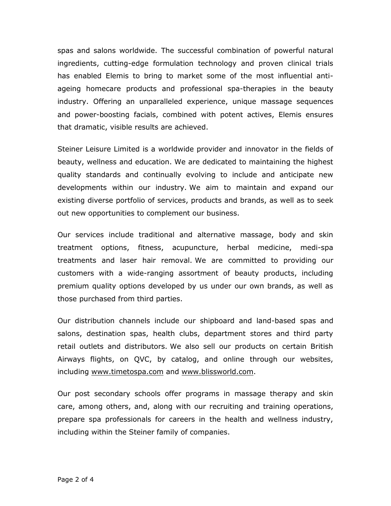spas and salons worldwide. The successful combination of powerful natural ingredients, cutting-edge formulation technology and proven clinical trials has enabled Elemis to bring to market some of the most influential antiageing homecare products and professional spa-therapies in the beauty industry. Offering an unparalleled experience, unique massage sequences and power-boosting facials, combined with potent actives, Elemis ensures that dramatic, visible results are achieved.

Steiner Leisure Limited is a worldwide provider and innovator in the fields of beauty, wellness and education. We are dedicated to maintaining the highest quality standards and continually evolving to include and anticipate new developments within our industry. We aim to maintain and expand our existing diverse portfolio of services, products and brands, as well as to seek out new opportunities to complement our business.

Our services include traditional and alternative massage, body and skin treatment options, fitness, acupuncture, herbal medicine, medi-spa treatments and laser hair removal. We are committed to providing our customers with a wide-ranging assortment of beauty products, including premium quality options developed by us under our own brands, as well as those purchased from third parties.

Our distribution channels include our shipboard and land-based spas and salons, destination spas, health clubs, department stores and third party retail outlets and distributors. We also sell our products on certain British Airways flights, on QVC, by catalog, and online through our websites, including [www.timetospa.com](http://www.timetospa.com/) and [www.blissworld.com.](http://www.blissworld.com/)

Our post secondary schools offer programs in massage therapy and skin care, among others, and, along with our recruiting and training operations, prepare spa professionals for careers in the health and wellness industry, including within the Steiner family of companies.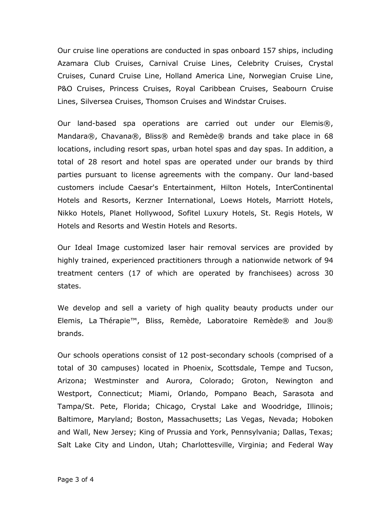Our cruise line operations are conducted in spas onboard 157 ships, including Azamara Club Cruises, Carnival Cruise Lines, Celebrity Cruises, Crystal Cruises, Cunard Cruise Line, Holland America Line, Norwegian Cruise Line, P&O Cruises, Princess Cruises, Royal Caribbean Cruises, Seabourn Cruise Lines, Silversea Cruises, Thomson Cruises and Windstar Cruises.

Our land-based spa operations are carried out under our Elemis®, Mandara®, Chavana®, Bliss® and Remède® brands and take place in 68 locations, including resort spas, urban hotel spas and day spas. In addition, a total of 28 resort and hotel spas are operated under our brands by third parties pursuant to license agreements with the company. Our land-based customers include Caesar's Entertainment, Hilton Hotels, InterContinental Hotels and Resorts, Kerzner International, Loews Hotels, Marriott Hotels, Nikko Hotels, Planet Hollywood, Sofitel Luxury Hotels, St. Regis Hotels, W Hotels and Resorts and Westin Hotels and Resorts.

Our Ideal Image customized laser hair removal services are provided by highly trained, experienced practitioners through a nationwide network of 94 treatment centers (17 of which are operated by franchisees) across 30 states.

We develop and sell a variety of high quality beauty products under our Elemis, La Thérapie™, Bliss, Remède, Laboratoire Remède® and Jou® brands.

Our schools operations consist of 12 post-secondary schools (comprised of a total of 30 campuses) located in Phoenix, Scottsdale, Tempe and Tucson, Arizona; Westminster and Aurora, Colorado; Groton, Newington and Westport, Connecticut; Miami, Orlando, Pompano Beach, Sarasota and Tampa/St. Pete, Florida; Chicago, Crystal Lake and Woodridge, Illinois; Baltimore, Maryland; Boston, Massachusetts; Las Vegas, Nevada; Hoboken and Wall, New Jersey; King of Prussia and York, Pennsylvania; Dallas, Texas; Salt Lake City and Lindon, Utah; Charlottesville, Virginia; and Federal Way